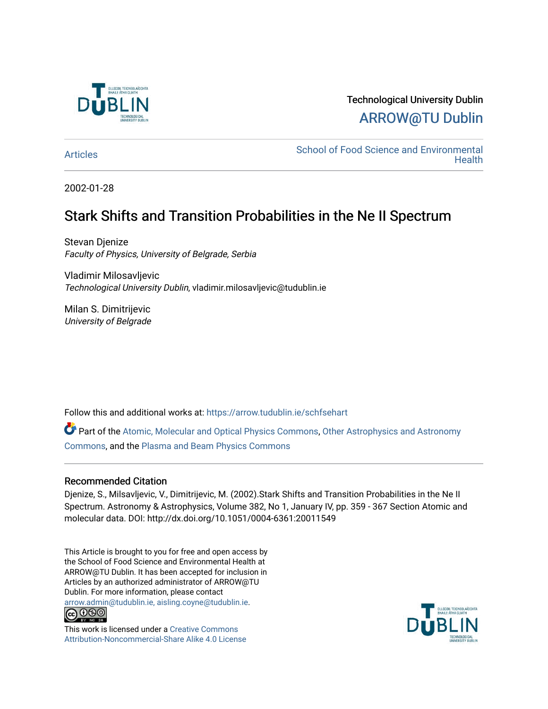

## Technological University Dublin [ARROW@TU Dublin](https://arrow.tudublin.ie/)

[Articles](https://arrow.tudublin.ie/schfsehart) **School of Food Science and Environmental Health** 

2002-01-28

# Stark Shifts and Transition Probabilities in the Ne II Spectrum

Stevan Djenize Faculty of Physics, University of Belgrade, Serbia

Vladimir Milosavljevic Technological University Dublin, vladimir.milosavljevic@tudublin.ie

Milan S. Dimitrijevic University of Belgrade

Follow this and additional works at: [https://arrow.tudublin.ie/schfsehart](https://arrow.tudublin.ie/schfsehart?utm_source=arrow.tudublin.ie%2Fschfsehart%2F184&utm_medium=PDF&utm_campaign=PDFCoverPages) 

Part of the [Atomic, Molecular and Optical Physics Commons,](http://network.bepress.com/hgg/discipline/195?utm_source=arrow.tudublin.ie%2Fschfsehart%2F184&utm_medium=PDF&utm_campaign=PDFCoverPages) [Other Astrophysics and Astronomy](http://network.bepress.com/hgg/discipline/130?utm_source=arrow.tudublin.ie%2Fschfsehart%2F184&utm_medium=PDF&utm_campaign=PDFCoverPages) [Commons](http://network.bepress.com/hgg/discipline/130?utm_source=arrow.tudublin.ie%2Fschfsehart%2F184&utm_medium=PDF&utm_campaign=PDFCoverPages), and the [Plasma and Beam Physics Commons](http://network.bepress.com/hgg/discipline/205?utm_source=arrow.tudublin.ie%2Fschfsehart%2F184&utm_medium=PDF&utm_campaign=PDFCoverPages) 

### Recommended Citation

Djenize, S., Milsavljevic, V., Dimitrijevic, M. (2002).Stark Shifts and Transition Probabilities in the Ne II Spectrum. Astronomy & Astrophysics, Volume 382, No 1, January IV, pp. 359 - 367 Section Atomic and molecular data. DOI: http://dx.doi.org/10.1051/0004-6361:20011549

This Article is brought to you for free and open access by the School of Food Science and Environmental Health at ARROW@TU Dublin. It has been accepted for inclusion in Articles by an authorized administrator of ARROW@TU Dublin. For more information, please contact [arrow.admin@tudublin.ie, aisling.coyne@tudublin.ie](mailto:arrow.admin@tudublin.ie,%20aisling.coyne@tudublin.ie).



This work is licensed under a [Creative Commons](http://creativecommons.org/licenses/by-nc-sa/4.0/) [Attribution-Noncommercial-Share Alike 4.0 License](http://creativecommons.org/licenses/by-nc-sa/4.0/)

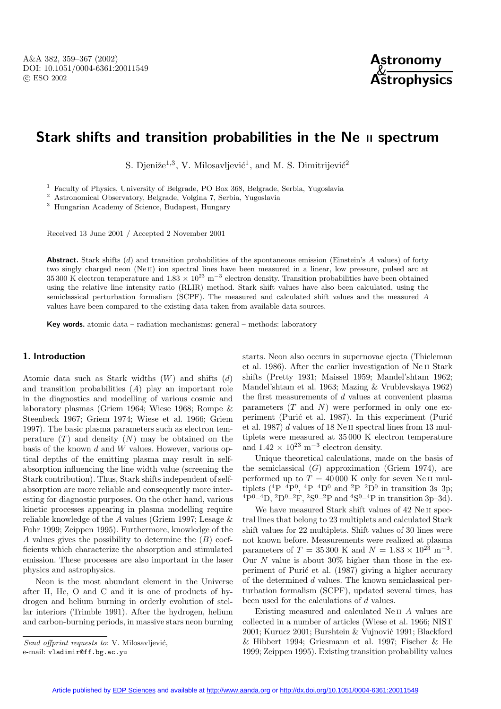

### **Stark shifts and transition probabilities in the Ne II spectrum**

S. Djeniže<sup>1,3</sup>, V. Milosavljević<sup>1</sup>, and M. S. Dimitrijević<sup>2</sup>

<sup>1</sup> Faculty of Physics, University of Belgrade, PO Box 368, Belgrade, Serbia, Yugoslavia

<sup>2</sup> Astronomical Observatory, Belgrade, Volgina 7, Serbia, Yugoslavia

<sup>3</sup> Hungarian Academy of Science, Budapest, Hungary

Received 13 June 2001 / Accepted 2 November 2001

**Abstract.** Stark shifts (d) and transition probabilities of the spontaneous emission (Einstein's A values) of forty two singly charged neon (Ne<sub>II</sub>) ion spectral lines have been measured in a linear, low pressure, pulsed arc at 35 300 K electron temperature and  $1.83 \times 10^{23}$  m<sup>-3</sup> electron density. Transition probabilities have been obtained using the relative line intensity ratio (RLIR) method. Stark shift values have also been calculated, using the semiclassical perturbation formalism (SCPF). The measured and calculated shift values and the measured A values have been compared to the existing data taken from available data sources.

**Key words.** atomic data – radiation mechanisms: general – methods: laboratory

#### **1. Introduction**

Atomic data such as Stark widths  $(W)$  and shifts  $(d)$ and transition probabilities (A) play an important role in the diagnostics and modelling of various cosmic and laboratory plasmas (Griem 1964; Wiese 1968; Rompe & Steenbeck 1967; Griem 1974; Wiese et al. 1966; Griem 1997). The basic plasma parameters such as electron temperature  $(T)$  and density  $(N)$  may be obtained on the basis of the known  $d$  and  $W$  values. However, various optical depths of the emitting plasma may result in selfabsorption influencing the line width value (screening the Stark contribution). Thus, Stark shifts independent of selfabsorption are more reliable and consequently more interesting for diagnostic purposes. On the other hand, various kinetic processes appearing in plasma modelling require reliable knowledge of the A values (Griem 1997; Lesage & Fuhr 1999; Zeippen 1995). Furthermore, knowledge of the A values gives the possibility to determine the  $(B)$  coefficients which characterize the absorption and stimulated emission. These processes are also important in the laser physics and astrophysics.

Neon is the most abundant element in the Universe after H, He, O and C and it is one of products of hydrogen and helium burning in orderly evolution of stellar interiors (Trimble 1991). After the hydrogen, helium and carbon-burning periods, in massive stars neon burning

Send offprint requests to: V. Milosavljević,

e-mail: vladimir@ff.bg.ac.yu

starts. Neon also occurs in supernovae ejecta (Thieleman et al. 1986). After the earlier investigation of Ne ii Stark shifts (Pretty 1931; Maissel 1959; Mandel'shtam 1962; Mandel'shtam et al. 1963; Mazing & Vrublevskaya 1962) the first measurements of d values at convenient plasma parameters  $(T \text{ and } N)$  were performed in only one experiment (Purić et al. 1987). In this experiment (Purić et al. 1987) d values of 18 Ne ii spectral lines from 13 multiplets were measured at 35 000 K electron temperature and  $1.42 \times 10^{23}$  m<sup>-3</sup> electron density.

Unique theoretical calculations, made on the basis of the semiclassical  $(G)$  approximation (Griem 1974), are performed up to  $T = 40000$  K only for seven Ne II multiplets  $(^{4}P-^{4}P^{0},~^{4}P-^{4}D^{0}$  and  $^{2}P-^{2}D^{0}$  in transition 3s-3p;  $^{4}P^{0}$ – $^{4}D$ ,  $^{2}D^{0}$ – $^{2}F$ ,  $^{2}S^{0}$ – $^{2}P$  and  $^{4}S^{0}$ – $^{4}P$  in transition 3p–3d).

We have measured Stark shift values of 42 Ne ii spectral lines that belong to 23 multiplets and calculated Stark shift values for 22 multiplets. Shift values of 30 lines were not known before. Measurements were realized at plasma parameters of  $T = 35300 \text{ K}$  and  $N = 1.83 \times 10^{23} \text{ m}^{-3}$ . Our N value is about  $30\%$  higher than those in the experiment of Purić et al. (1987) giving a higher accuracy of the determined d values. The known semiclassical perturbation formalism (SCPF), updated several times, has been used for the calculations of d values.

Existing measured and calculated Ne ii A values are collected in a number of articles (Wiese et al. 1966; NIST 2001; Kurucz 2001; Burshtein & Vujnović 1991; Blackford & Hibbert 1994; Griesmann et al. 1997; Fischer & He 1999; Zeippen 1995). Existing transition probability values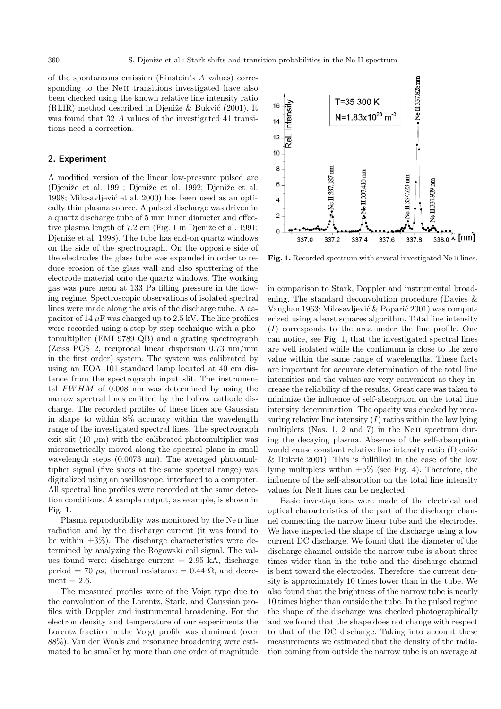of the spontaneous emission (Einstein's A values) corresponding to the Ne<sub>II</sub> transitions investigated have also been checked using the known relative line intensity ratio (RLIR) method described in Djeniže  $&$  Bukvić (2001). It was found that 32 A values of the investigated 41 transitions need a correction.

#### **2. Experiment**

A modified version of the linear low-pressure pulsed arc (Djeniže et al. 1991; Djeniže et al. 1992; Djeniže et al. 1998; Milosavljević et al. 2000) has been used as an optically thin plasma source. A pulsed discharge was driven in a quartz discharge tube of 5 mm inner diameter and effective plasma length of  $7.2 \text{ cm}$  (Fig. 1 in Djeniže et al. 1991; Djeniže et al. 1998). The tube has end-on quartz windows on the side of the spectrograph. On the opposite side of the electrodes the glass tube was expanded in order to reduce erosion of the glass wall and also sputtering of the electrode material onto the quartz windows. The working gas was pure neon at 133 Pa filling pressure in the flowing regime. Spectroscopic observations of isolated spectral lines were made along the axis of the discharge tube. A capacitor of 14  $\mu$ F was charged up to 2.5 kV. The line profiles were recorded using a step-by-step technique with a photomultiplier (EMI 9789 QB) and a grating spectrograph (Zeiss PGS–2, reciprocal linear dispersion 0.73 nm/mm in the first order) system. The system was calibrated by using an EOA–101 standard lamp located at 40 cm distance from the spectrograph input slit. The instrumental FWHM of 0.008 nm was determined by using the narrow spectral lines emitted by the hollow cathode discharge. The recorded profiles of these lines are Gaussian in shape to within 8% accuracy within the wavelength range of the investigated spectral lines. The spectrograph exit slit (10  $\mu$ m) with the calibrated photomultiplier was micrometrically moved along the spectral plane in small wavelength steps (0.0073 nm). The averaged photomultiplier signal (five shots at the same spectral range) was digitalized using an oscilloscope, interfaced to a computer. All spectral line profiles were recorded at the same detection conditions. A sample output, as example, is shown in Fig. 1.

Plasma reproducibility was monitored by the Ne II line radiation and by the discharge current (it was found to be within  $\pm 3\%$ ). The discharge characteristics were determined by analyzing the Rogowski coil signal. The values found were: discharge current  $= 2.95$  kA, discharge period = 70  $\mu$ s, thermal resistance = 0.44  $\Omega$ , and decre $ment = 2.6.$ 

The measured profiles were of the Voigt type due to the convolution of the Lorentz, Stark, and Gaussian profiles with Doppler and instrumental broadening. For the electron density and temperature of our experiments the Lorentz fraction in the Voigt profile was dominant (over 88%). Van der Waals and resonance broadening were estimated to be smaller by more than one order of magnitude



Fig. 1. Recorded spectrum with several investigated Ne II lines.

in comparison to Stark, Doppler and instrumental broadening. The standard deconvolution procedure (Davies & Vaughan 1963; Milosavljević & Poparić 2001) was computerized using a least squares algorithm. Total line intensity (I) corresponds to the area under the line profile. One can notice, see Fig. 1, that the investigated spectral lines are well isolated while the continuum is close to the zero value within the same range of wavelengths. These facts are important for accurate determination of the total line intensities and the values are very convenient as they increase the reliability of the results. Great care was taken to minimize the influence of self-absorption on the total line intensity determination. The opacity was checked by measuring relative line intensity  $(I)$  ratios within the low lying multiplets (Nos. 1, 2 and 7) in the Ne II spectrum during the decaying plasma. Absence of the self-absorption would cause constant relative line intensity ratio (Djeniže  $\&$  Bukvić 2001). This is fullfilled in the case of the low lying multiplets within  $\pm 5\%$  (see Fig. 4). Therefore, the influence of the self-absorption on the total line intensity values for Ne ii lines can be neglected.

Basic investigations were made of the electrical and optical characteristics of the part of the discharge channel connecting the narrow linear tube and the electrodes. We have inspected the shape of the discharge using a low current DC discharge. We found that the diameter of the discharge channel outside the narrow tube is about three times wider than in the tube and the discharge channel is bent toward the electrodes. Therefore, the current density is approximately 10 times lower than in the tube. We also found that the brightness of the narrow tube is nearly 10 times higher than outside the tube. In the pulsed regime the shape of the discharge was checked photographically and we found that the shape does not change with respect to that of the DC discharge. Taking into account these measurements we estimated that the density of the radiation coming from outside the narrow tube is on average at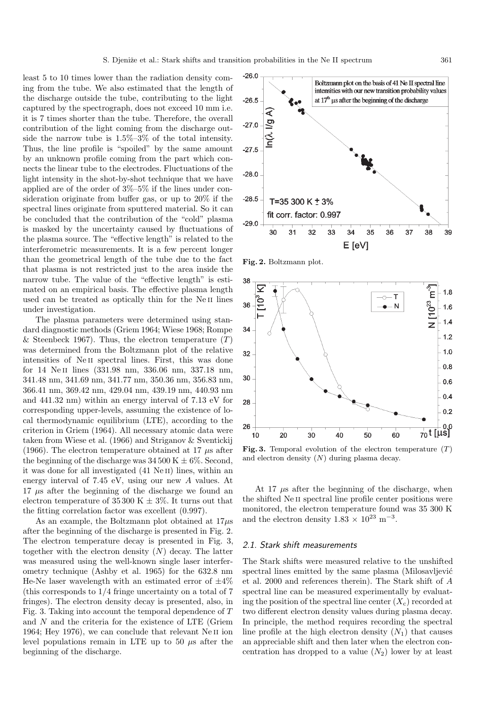least 5 to 10 times lower than the radiation density coming from the tube. We also estimated that the length of the discharge outside the tube, contributing to the light captured by the spectrograph, does not exceed 10 mm i.e. it is 7 times shorter than the tube. Therefore, the overall contribution of the light coming from the discharge outside the narrow tube is 1.5%–3% of the total intensity. Thus, the line profile is "spoiled" by the same amount by an unknown profile coming from the part which connects the linear tube to the electrodes. Fluctuations of the light intensity in the shot-by-shot technique that we have applied are of the order of 3%–5% if the lines under consideration originate from buffer gas, or up to 20% if the spectral lines originate from sputtered material. So it can be concluded that the contribution of the "cold" plasma is masked by the uncertainty caused by fluctuations of the plasma source. The "effective length" is related to the interferometric measurements. It is a few percent longer than the geometrical length of the tube due to the fact that plasma is not restricted just to the area inside the narrow tube. The value of the "effective length" is estimated on an empirical basis. The effective plasma length used can be treated as optically thin for the Ne II lines under investigation.

The plasma parameters were determined using standard diagnostic methods (Griem 1964; Wiese 1968; Rompe & Steenbeck 1967). Thus, the electron temperature  $(T)$ was determined from the Boltzmann plot of the relative intensities of Ne ii spectral lines. First, this was done for 14 Ne ii lines (331.98 nm, 336.06 nm, 337.18 nm, 341.48 nm, 341.69 nm, 341.77 nm, 350.36 nm, 356.83 nm, 366.41 nm, 369.42 nm, 429.04 nm, 439.19 nm, 440.93 nm and 441.32 nm) within an energy interval of 7.13 eV for corresponding upper-levels, assuming the existence of local thermodynamic equilibrium (LTE), according to the criterion in Griem (1964). All necessary atomic data were taken from Wiese et al. (1966) and Striganov & Sventickij (1966). The electron temperature obtained at 17  $\mu$ s after the beginning of the discharge was  $34\,500 \mathrm{K} \pm 6\%$ . Second, it was done for all investigated (41 NeII) lines, within an energy interval of 7.45 eV, using our new A values. At  $17 \mu s$  after the beginning of the discharge we found an electron temperature of 35 300 K  $\pm$  3%. It turns out that the fitting correlation factor was excellent (0.997).

As an example, the Boltzmann plot obtained at  $17\mu s$ after the beginning of the discharge is presented in Fig. 2. The electron temperature decay is presented in Fig. 3, together with the electron density  $(N)$  decay. The latter was measured using the well-known single laser interferometry technique (Ashby et al. 1965) for the 632.8 nm He-Ne laser wavelength with an estimated error of  $\pm 4\%$ (this corresponds to 1/4 fringe uncertainty on a total of 7 fringes). The electron density decay is presented, also, in Fig. 3. Taking into account the temporal dependence of T and  $N$  and the criteria for the existence of LTE (Griem 1964; Hey 1976), we can conclude that relevant Ne<sub>II</sub> ion level populations remain in LTE up to 50  $\mu$ s after the beginning of the discharge.



**Fig. 2.** Boltzmann plot.



**Fig. 3.** Temporal evolution of the electron temperature  $(T)$ and electron density  $(N)$  during plasma decay.

At 17  $\mu$ s after the beginning of the discharge, when the shifted Ne ii spectral line profile center positions were monitored, the electron temperature found was 35 300 K and the electron density 1.83  $\times$   $10^{23}$   $\mathrm{m}^{-3}.$ 

#### 2.1. Stark shift measurements

The Stark shifts were measured relative to the unshifted spectral lines emitted by the same plasma (Milosavljević et al. 2000 and references therein). The Stark shift of A spectral line can be measured experimentally by evaluating the position of the spectral line center  $(X_c)$  recorded at two different electron density values during plasma decay. In principle, the method requires recording the spectral line profile at the high electron density  $(N_1)$  that causes an appreciable shift and then later when the electron concentration has dropped to a value  $(N_2)$  lower by at least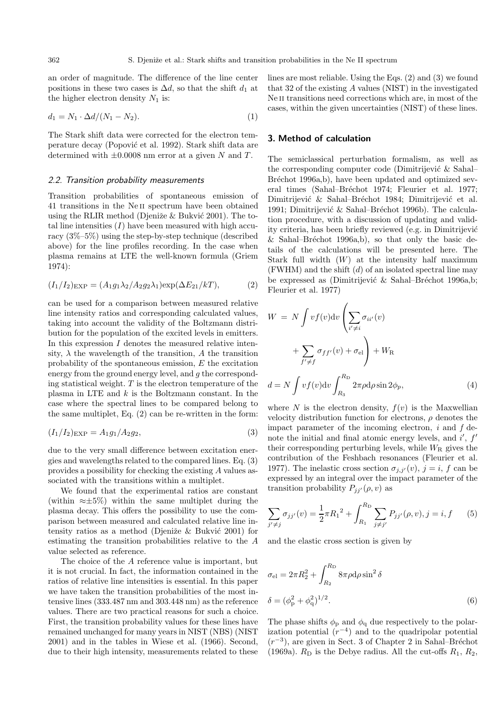an order of magnitude. The difference of the line center positions in these two cases is  $\Delta d$ , so that the shift  $d_1$  at the higher electron density  $N_1$  is:

$$
d_1 = N_1 \cdot \Delta d / (N_1 - N_2). \tag{1}
$$

The Stark shift data were corrected for the electron temperature decay (Popović et al. 1992). Stark shift data are determined with  $\pm 0.0008$  nm error at a given N and T.

#### 2.2. Transition probability measurements

Transition probabilities of spontaneous emission of 41 transitions in the Ne ii spectrum have been obtained using the RLIR method (Djeniže  $&$  Bukvić 2001). The total line intensities  $(I)$  have been measured with high accuracy  $(3\% - 5\%)$  using the step-by-step technique (described above) for the line profiles recording. In the case when plasma remains at LTE the well-known formula (Griem 1974):

$$
(I_1/I_2)_{\text{EXP}} = (A_1g_1\lambda_2/A_2g_2\lambda_1)\exp(\Delta E_{21}/kT),
$$
 (2)

can be used for a comparison between measured relative line intensity ratios and corresponding calculated values, taking into account the validity of the Boltzmann distribution for the population of the excited levels in emitters. In this expression  $I$  denotes the measured relative intensity,  $\lambda$  the wavelength of the transition, A the transition probability of the spontaneous emission, E the excitation energy from the ground energy level, and g the corresponding statistical weight.  $T$  is the electron temperature of the plasma in LTE and k is the Boltzmann constant. In the case where the spectral lines to be compared belong to the same multiplet, Eq. (2) can be re-written in the form:

$$
(I_1/I_2)_{\text{EXP}} = A_1 g_1/A_2 g_2,\tag{3}
$$

due to the very small difference between excitation energies and wavelengths related to the compared lines. Eq. (3) provides a possibility for checking the existing A values associated with the transitions within a multiplet.

We found that the experimental ratios are constant (within  $\approx \pm 5\%$ ) within the same multiplet during the plasma decay. This offers the possibility to use the comparison between measured and calculated relative line intensity ratios as a method (Djeniže  $&$  Bukvić 2001) for estimating the transition probabilities relative to the A value selected as reference.

The choice of the A reference value is important, but it is not crucial. In fact, the information contained in the ratios of relative line intensities is essential. In this paper we have taken the transition probabilities of the most intensive lines (333.487 nm and 303.448 nm) as the reference values. There are two practical reasons for such a choice. First, the transition probability values for these lines have remained unchanged for many years in NIST (NBS) (NIST 2001) and in the tables in Wiese et al. (1966). Second, due to their high intensity, measurements related to these

lines are most reliable. Using the Eqs. (2) and (3) we found that 32 of the existing A values (NIST) in the investigated Ne II transitions need corrections which are, in most of the cases, within the given uncertainties (NIST) of these lines.

#### **3. Method of calculation**

The semiclassical perturbation formalism, as well as the corresponding computer code (Dimitrijević  $\&$  Sahal– Bréchot 1996a,b), have been updated and optimized several times (Sahal–Bréchot 1974; Fleurier et al. 1977; Dimitrijević & Sahal–Bréchot 1984; Dimitrijević et al. 1991; Dimitrijević & Sahal–Bréchot 1996b). The calculation procedure, with a discussion of updating and validity criteria, has been briefly reviewed (e.g. in Dimitrijević & Sahal–Bréchot 1996a,b), so that only the basic details of the calculations will be presented here. The Stark full width  $(W)$  at the intensity half maximum (FWHM) and the shift  $(d)$  of an isolated spectral line may be expressed as (Dimitrijević & Sahal–Bréchot 1996a,b; Fleurier et al. 1977)

$$
W = N \int vf(v) dv \left( \sum_{i' \neq i} \sigma_{ii'}(v) + \sum_{f' \neq f} \sigma_{ff'}(v) + \sigma_{el} \right) + W_{R}
$$
  

$$
d = N \int vf(v) dv \int_{R_3}^{R_{D}} 2\pi \rho d\rho \sin 2\phi_{p}, \qquad (4)
$$

where N is the electron density,  $f(v)$  is the Maxwellian velocity distribution function for electrons,  $\rho$  denotes the impact parameter of the incoming electron,  $i$  and  $f$  denote the initial and final atomic energy levels, and  $i'$ ,  $f'$ their corresponding perturbing levels, while  $W_R$  gives the contribution of the Feshbach resonances (Fleurier et al. 1977). The inelastic cross section  $\sigma_{j,j'}(v)$ ,  $j = i$ , f can be expressed by an integral over the impact parameter of the transition probability  $P_{jj'}(\rho, v)$  as

$$
\sum_{j' \neq j} \sigma_{jj'}(v) = \frac{1}{2} \pi R_1^{2} + \int_{R_1}^{R_{\text{D}}} \sum_{j \neq j'} P_{jj'}(\rho, v), j = i, f \qquad (5)
$$

and the elastic cross section is given by

$$
\sigma_{\rm el} = 2\pi R_2^2 + \int_{R_2}^{R_{\rm D}} 8\pi \rho \mathrm{d}\rho \sin^2 \delta
$$
  

$$
\delta = (\phi_{\rm p}^2 + \phi_{\rm q}^2)^{1/2}.
$$
 (6)

The phase shifts  $\phi_{\rm p}$  and  $\phi_{\rm q}$  due respectively to the polarization potential  $(r^{-4})$  and to the quadripolar potential  $(r^{-3})$ , are given in Sect. 3 of Chapter 2 in Sahal–Bréchot (1969a).  $R_D$  is the Debye radius. All the cut-offs  $R_1, R_2$ ,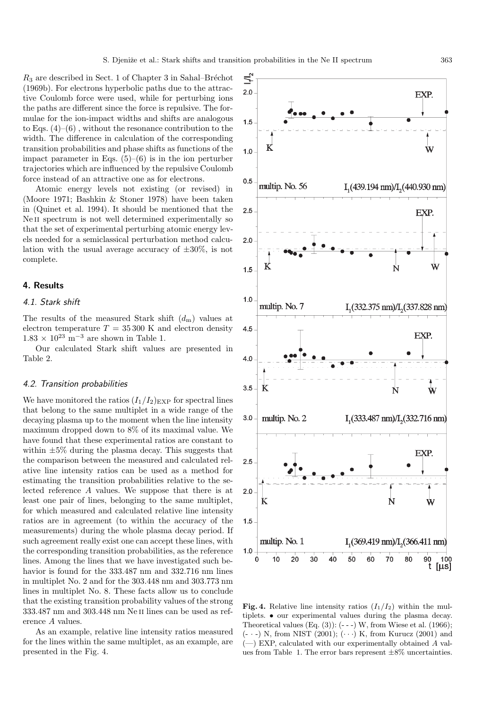ĻI,

 $R_3$  are described in Sect. 1 of Chapter 3 in Sahal–Bréchot (1969b). For electrons hyperbolic paths due to the attractive Coulomb force were used, while for perturbing ions the paths are different since the force is repulsive. The formulae for the ion-impact widths and shifts are analogous to Eqs.  $(4)$ – $(6)$ , without the resonance contribution to the width. The difference in calculation of the corresponding transition probabilities and phase shifts as functions of the impact parameter in Eqs.  $(5)-(6)$  is in the ion perturber trajectories which are influenced by the repulsive Coulomb force instead of an attractive one as for electrons.

Atomic energy levels not existing (or revised) in (Moore 1971; Bashkin & Stoner 1978) have been taken in (Quinet et al. 1994). It should be mentioned that the Ne II spectrum is not well determined experimentally so that the set of experimental perturbing atomic energy levels needed for a semiclassical perturbation method calculation with the usual average accuracy of  $\pm 30\%$ , is not complete.

#### **4. Results**

#### 4.1. Stark shift

The results of the measured Stark shift  $(d_m)$  values at electron temperature  $T = 35300$  K and electron density  $1.83 \times 10^{23}$  m<sup>-3</sup> are shown in Table 1.

Our calculated Stark shift values are presented in Table 2.

#### 4.2. Transition probabilities

We have monitored the ratios  $(I_1/I_2)_{\text{EXP}}$  for spectral lines that belong to the same multiplet in a wide range of the decaying plasma up to the moment when the line intensity maximum dropped down to 8% of its maximal value. We have found that these experimental ratios are constant to within  $\pm 5\%$  during the plasma decay. This suggests that the comparison between the measured and calculated relative line intensity ratios can be used as a method for estimating the transition probabilities relative to the selected reference A values. We suppose that there is at least one pair of lines, belonging to the same multiplet, for which measured and calculated relative line intensity ratios are in agreement (to within the accuracy of the measurements) during the whole plasma decay period. If such agreement really exist one can accept these lines, with the corresponding transition probabilities, as the reference lines. Among the lines that we have investigated such behavior is found for the 333.487 nm and 332.716 nm lines in multiplet No. 2 and for the 303.448 nm and 303.773 nm lines in multiplet No. 8. These facts allow us to conclude that the existing transition probability values of the strong 333.487 nm and 303.448 nm Ne ii lines can be used as reference A values.

As an example, relative line intensity ratios measured for the lines within the same multiplet, as an example, are presented in the Fig. 4.

 $2.0$ EXP.  $1.5$  $\bf K$ Ŵ  $1.0$  $0.5$ multip. No. 56  $I<sub>1</sub>(439.194 nm)/I<sub>2</sub>(440.930 nm)$  $2.5$ EXP.  $2.0$ K Ŵ Ň  $1.5$  $1.0$ multip. No. 7  $I<sub>1</sub>(332.375 nm)/I<sub>2</sub>(337.828 nm)$  $4.5$ EXP.  $4.0$  $3.5$ K Ń  $\mathbf{w}$ multip. No. 2  $3.0$  $I<sub>1</sub>(333.487 nm)/I<sub>2</sub>(332.716 nm)$ EXP.  $2.5$  $2.0$ Ń K Ŵ  $1.5$ multip. No. 1  $I_{1}(369.419 \text{ nm})/I_{2}(366.411 \text{ nm})$  $1.0$  $20$  $30$  $\Omega$  $10$ 40 50 60 70 80 90 100 t  $[µs]$ 

**Fig. 4.** Relative line intensity ratios  $(I_1/I_2)$  within the multiplets. • our experimental values during the plasma decay. Theoretical values  $(Eq. (3))$ :  $(- - )$  W, from Wiese et al.  $(1966)$ ;  $(- \cdot -)$  N, from NIST  $(2001)$ ;  $(\cdot \cdot \cdot)$  K, from Kurucz  $(2001)$  and  $(-)$  EXP, calculated with our experimentally obtained A values from Table 1. The error bars represent  $\pm 8\%$  uncertainties.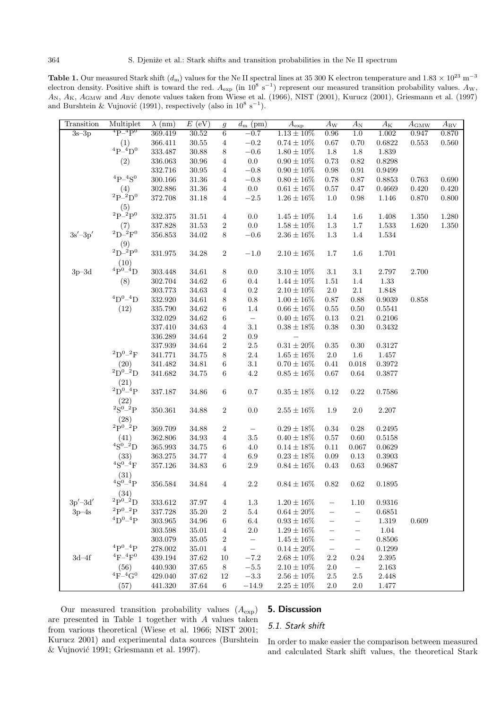Table 1. Our measured Stark shift  $(d_m)$  values for the Ne II spectral lines at 35 300 K electron temperature and  $1.83 \times 10^{23}$  m<sup>-3</sup> electron density. Positive shift is toward the red.  $A_{\exp}$  (in  $10^8 \text{ s}^{-1}$ ) represent our measured transition probability values.  $A_{\text{W}}$ , A<sub>N</sub>, A<sub>K</sub>, A<sub>GMW</sub> and A<sub>BV</sub> denote values taken from Wiese et al. (1966), NIST (2001), Kurucz (2001), Griesmann et al. (1997) and Burshtein & Vujnović (1991), respectively (also in  $10^8 \text{ s}^{-1}$ ).

| Transition  | Multiplet                                                        | $\lambda$ (nm) | $E$ (eV)  | $\mathfrak{g}$   | $d_{\rm m}$ (pm)  | $A_{\exp}$       | $A_{\rm W}$              | $A_{\rm N}$              | $A_{\rm K}$  | $A_{\text{GMW}}$ | $A_{\rm BV}$ |
|-------------|------------------------------------------------------------------|----------------|-----------|------------------|-------------------|------------------|--------------------------|--------------------------|--------------|------------------|--------------|
| $3s-3p$     | $^{4}P-^{4}P^{0}$                                                | 369.419        | 30.52     | 6                | $-0.7$            | $1.13 \pm 10\%$  | 0.96                     | 1.0                      | 1.002        | 0.947            | 0.870        |
|             | $^{(1)}_{\rm 4P\text{-}4D^0}$                                    | 366.411        | $30.55\,$ | $\overline{4}$   | $\!-0.2$          | $0.74\pm10\%$    | $0.67\,$                 | $0.70\,$                 | $\,0.6822\,$ | $\,0.553\,$      | $0.560\,$    |
|             |                                                                  | 333.487        | $30.88\,$ | $8\,$            | $-0.6$            | $1.80 \pm 10\%$  | $1.8\,$                  | 1.8                      | 1.839        |                  |              |
|             | (2)                                                              | 336.063        | $30.96\,$ | $\,4$            | $0.0\,$           | $0.90\pm10\%$    | 0.73                     | 0.82                     | 0.8298       |                  |              |
|             |                                                                  | 332.716        | $30.95\,$ | $\overline{4}$   | $\!-0.8$          | $0.90 \pm 10\%$  | $0.98\,$                 | 0.91                     | 0.9499       |                  |              |
|             | ${}^{4}P-{}^{4}S^{0}$                                            | 300.166        | $31.36\,$ | $\overline{4}$   | $\!-0.8$          | $0.80 \pm 16\%$  | 0.78                     | 0.87                     | 0.8853       | 0.763            | 0.690        |
|             | (4)                                                              | 302.886        | $31.36\,$ | $\overline{4}$   | $0.0\,$           | $0.61\pm16\%$    | $0.57\,$                 | 0.47                     | 0.4669       | 0.420            | $0.420\,$    |
|             | ${}^2P-{}^2D^0$                                                  | 372.708        | $31.18\,$ | $\overline{4}$   | $-2.5\,$          | $1.26 \pm 16\%$  | $1.0\,$                  | 0.98                     | 1.146        | 0.870            | $0.800\,$    |
|             | $^{(5)}_{\rm 2p-2p^0}$                                           |                |           |                  |                   |                  |                          |                          |              |                  |              |
|             |                                                                  | 332.375        | $31.51\,$ | $\,4$            | $0.0\,$           | $1.45 \pm 10\%$  | $1.4\,$                  | $1.6\,$                  | 1.408        | $1.350\,$        | $1.280\,$    |
|             | $^{(7)}_{\rm 2D-^2F^0}$                                          | 337.828        | $31.53\,$ | $\,2$            | $0.0\,$           | $1.58\pm10\%$    | $1.3\,$                  | $1.7\,$                  | $1.533\,$    | $1.620\,$        | $1.350\,$    |
| $3s' - 3p'$ |                                                                  | 356.853        | $34.02\,$ | $8\,$            | $\!-0.6$          | $2.36\pm16\%$    | $1.3\,$                  | $1.4\,$                  | $1.534\,$    |                  |              |
|             | $^{(9)}_{2D-^{2}P^{0}}$                                          |                |           |                  |                   |                  |                          |                          |              |                  |              |
|             |                                                                  | 331.975        | $34.28\,$ | $\,2$            | $-1.0$            | $2.10 \pm 16 \%$ | $1.7\,$                  | $1.6\,$                  | 1.701        |                  |              |
|             | $^{(10)}_{\,4\text{P}^{0}\text{-}{}^{4}\text{D}}$                |                |           |                  |                   |                  |                          |                          |              |                  |              |
| $3p-3d$     |                                                                  | 303.448        | 34.61     | $8\,$            | $0.0\,$           | $3.10 \pm 10\%$  | $3.1\,$                  | $3.1\,$                  | $2.797\,$    | 2.700            |              |
|             | (8)                                                              | 302.704        | $34.62\,$ | $\,6\,$          | $0.4\,$           | $1.44 \pm 10\%$  | $1.51\,$                 | $1.4\,$                  | $1.33\,$     |                  |              |
|             |                                                                  | 303.773        | $34.63\,$ | $\,4\,$          | $\rm 0.2$         | $2.10\pm10\%$    | $2.0\,$                  | $2.1\,$                  | 1.848        |                  |              |
|             | ${}^4D^{0-4}D$                                                   | $332.920\,$    | 34.61     | $\,8\,$          | $0.8\,$           | $1.00 \pm 16\%$  | $0.87\,$                 | 0.88                     | $\,0.9039\,$ | 0.858            |              |
|             | (12)                                                             | 335.790        | $34.62\,$ | $\,6\,$          | $1.4\,$           | $0.66 \pm 16\%$  | 0.55                     | 0.50                     | 0.5541       |                  |              |
|             |                                                                  | 332.029        | $34.62\,$ | $\,6\,$          |                   | $0.40 \pm 16 \%$ | $0.13\,$                 | $0.21\,$                 | 0.2106       |                  |              |
|             |                                                                  | 337.410        | $34.63\,$ | $\,4\,$          | $3.1\,$           | $0.38\pm18\%$    | $0.38\,$                 | $0.30\,$                 | ${0.3432}$   |                  |              |
|             |                                                                  | 336.289        | $34.64\,$ | $\,2$            | $\rm 0.9$         |                  |                          |                          |              |                  |              |
|             |                                                                  | 337.939        | $34.64\,$ | $\,2$            | $2.5\,$           | $0.31\pm20\%$    | $0.35\,$                 | 0.30                     | 0.3127       |                  |              |
|             | $^2\mathrm{D}^{0}\text{--}^2\mathrm{F}$                          | 341.771        | $34.75\,$ | $\,8\,$          | $2.4\,$           | $1.65\pm16\%$    | $2.0\,$                  | $1.6\,$                  | 1.457        |                  |              |
|             | $^{(20)}_{\text{2D}^{0-2}\text{D}}$                              | 341.482        | $34.81\,$ | $\,6\,$          | $3.1\,$           | $0.70 \pm 16\%$  | 0.41                     | 0.018                    | 0.3972       |                  |              |
|             |                                                                  | 341.682        | $34.75\,$ | $\,6\,$          | $4.2\,$           | $0.85\pm16\%$    | $0.67\,$                 | 0.64                     | 0.3877       |                  |              |
|             | $^{(21)}_{\text{2D}^{0\_4}\text{P}}$                             |                |           |                  |                   |                  |                          |                          |              |                  |              |
|             |                                                                  | 337.187        | $34.86\,$ | $\,6\,$          | $0.7\,$           | $0.35\pm18\%$    | $0.12\,$                 | 0.22                     | $0.7586\,$   |                  |              |
|             | $^{(22)}_{^{2}\text{S}^{0\_2}\text{P}}$                          |                |           |                  |                   |                  |                          |                          |              |                  |              |
|             |                                                                  | 350.361        | $34.88\,$ | $\,2$            | $0.0\,$           | $2.55 \pm 16\%$  | $1.9\,$                  | $2.0\,$                  | $2.207\,$    |                  |              |
|             | (28)                                                             |                |           |                  |                   |                  |                          |                          |              |                  |              |
|             | $^{2}\mathrm{P}^{0}$ <sup>2</sup> P                              | 369.709        | $34.88\,$ | $\,2$            |                   | $0.29 \pm 18 \%$ | $0.34\,$                 | $0.28\,$                 | 0.2495       |                  |              |
|             | $^{(41)}_{8^{0-2}D}$                                             | 362.806        | $34.93\,$ | $\,4$            | $3.5\,$           | $0.40 \pm 18\%$  | $0.57\,$                 | 0.60                     | $0.5158\,$   |                  |              |
|             |                                                                  | 365.993        | $34.75\,$ | $\,6\,$          | $4.0\,$           | $0.14 \pm 18 \%$ | 0.11                     | 0.067                    | 0.0629       |                  |              |
|             | $^{(33)}_{\rm 4S^0-^4F}$                                         | 363.275        | $34.77\,$ | $\overline{4}$   | $6.9\,$           | $0.23\pm18\%$    | 0.09                     | 0.13                     | ${0.3903}$   |                  |              |
|             |                                                                  | 357.126        | $34.83\,$ | $\,6\,$          | $2.9\,$           | $0.84 \pm 16 \%$ | 0.43                     | 0.63                     | 0.9687       |                  |              |
|             | (31)                                                             |                |           |                  |                   |                  |                          |                          |              |                  |              |
|             | $^{4}\mathrm{S}^{0-4}\mathrm{P}$                                 | $356.584\,$    | $34.84\,$ | $\overline{4}$   | 2.2               | $0.84 \pm 16\%$  | 0.82                     | 0.62                     | 0.1895       |                  |              |
|             | (34)                                                             |                |           |                  |                   |                  |                          |                          |              |                  |              |
| $3p'$ -3d'  | $^{2}\mathrm{P}^{0} - ^{2}\mathrm{D}$<br>${}^{2}P^{0} - {}^{2}P$ | 333.612        | 37.97     | $\sqrt{4}$       | $1.3\,$           | $1.20 \pm 16\%$  |                          | $1.10\,$                 | 0.9316       |                  |              |
| $3p-4s$     |                                                                  | 337.728        | 35.20     | $\boldsymbol{2}$ | $5.4\,$           | $0.64 \pm 20\%$  |                          | $\overline{\phantom{0}}$ | 0.6851       |                  |              |
|             | ${}^{4}D^{0} - {}^{4}P$                                          | 303.965        | 34.96     | 6                | $6.4\,$           | $0.93 \pm 16\%$  | —                        | $\qquad \qquad -$        | $1.319\,$    | 0.609            |              |
|             |                                                                  | $303.598\,$    | $35.01\,$ | $\overline{4}$   | $2.0\,$           | $1.29 \pm 16\%$  | $\overline{\phantom{0}}$ | $\qquad \qquad -$        | 1.04         |                  |              |
|             |                                                                  | 303.079        | $35.05\,$ | $\boldsymbol{2}$ | $\qquad \qquad -$ | $1.45 \pm 16\%$  | $\qquad \qquad -$        | $\qquad \qquad -$        | 0.8506       |                  |              |
|             | ${}^{4}P^{0} - {}^{4}P$                                          | 278.002        | $35.01\,$ | $\,4\,$          | $\qquad \qquad -$ | $0.14 \pm 20\%$  | $\qquad \qquad -$        | $\qquad \qquad -$        | 0.1299       |                  |              |
| $3d-4f$     | ${}^4F-{}^4F^0$                                                  | 439.194        | $37.62\,$ | 10               | $-7.2\,$          | $2.68 \pm 10\%$  | $2.2\,$                  | 0.24                     | $2.395\,$    |                  |              |
|             | (56)                                                             | 440.930        | 37.65     | $\,8\,$          | $-5.5\,$          | $2.10 \pm 10\%$  | $2.0\,$                  | $\overline{\phantom{0}}$ | $2.163\,$    |                  |              |
|             | ${}^{4}F-{}^{4}G^{0}$                                            | 429.040        | 37.62     | 12               | $-3.3\,$          | $2.56 \pm 10\%$  | $2.5\,$                  | $2.5\,$                  | 2.448        |                  |              |
|             | (57)                                                             | 441.320        | $37.64\,$ | 6                | $-14.9$           | $2.25\pm10\%$    | 2.0                      | 2.0                      | 1.477        |                  |              |

Our measured transition probability values  $(A_{exp})$ are presented in Table 1 together with A values taken from various theoretical (Wiese et al. 1966; NIST 2001; Kurucz 2001) and experimental data sources (Burshtein  $&$  Vujnović 1991; Griesmann et al. 1997).

#### **5. Discussion**

#### 5.1. Stark shift

In order to make easier the comparison between measured and calculated Stark shift values, the theoretical Stark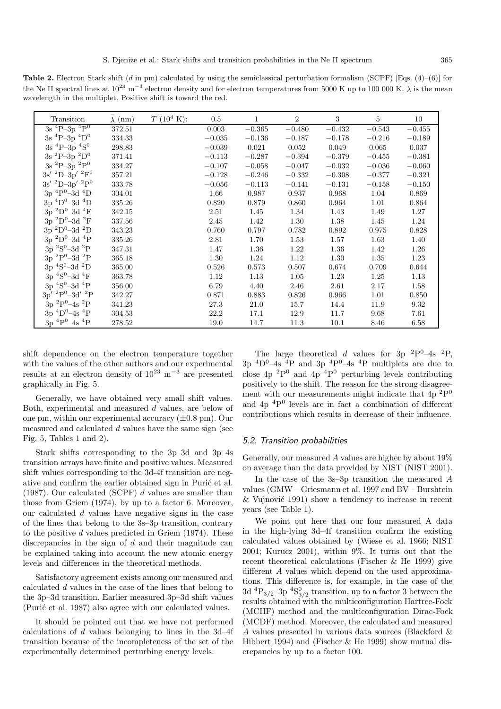**Table 2.** Electron Stark shift (d in pm) calculated by using the semiclassical perturbation formalism (SCPF) [Eqs. (4)–(6)] for the Ne II spectral lines at  $10^{23}$  m<sup>-3</sup> electron density and for electron temperatures from 5000 K up to 100 000 K.  $\bar{\lambda}$  is the mean wavelength in the multiplet. Positive shift is toward the red.

| Transition                                                            | $\lambda$ (nm) | $T(10^4 \text{ K})$ : | 0.5      | 1        | $\overline{2}$ | 3        | 5        | 10       |
|-----------------------------------------------------------------------|----------------|-----------------------|----------|----------|----------------|----------|----------|----------|
| $3s$ <sup>4</sup> P-3p <sup>4</sup> P <sup>0</sup>                    | 372.51         |                       | 0.003    | $-0.365$ | $-0.480$       | $-0.432$ | $-0.543$ | $-0.455$ |
| 3s ${}^{4}P-3p$ ${}^{4}D^{0}$                                         | 334.33         |                       | $-0.035$ | $-0.136$ | $-0.187$       | $-0.178$ | $-0.216$ | $-0.189$ |
| $3s$ <sup>4</sup> P-3p <sup>4</sup> S <sup>0</sup>                    | 298.83         |                       | $-0.039$ | 0.021    | 0.052          | 0.049    | 0.065    | 0.037    |
| 3s ${}^{2}P-3p$ ${}^{2}D^{0}$                                         | 371.41         |                       | $-0.113$ | $-0.287$ | $-0.394$       | $-0.379$ | $-0.455$ | $-0.381$ |
| $3s$ <sup>2</sup> P-3p <sup>2</sup> P <sup>0</sup>                    | 334.27         |                       | $-0.107$ | $-0.058$ | $-0.047$       | $-0.032$ | $-0.036$ | $-0.060$ |
| $3s'~^2D-3p'~^2F^0$                                                   | 357.21         |                       | $-0.128$ | $-0.246$ | $-0.332$       | $-0.308$ | $-0.377$ | $-0.321$ |
| $3\mathrm{s}'$ $^2\mathrm{D}{\text{--}3\mathrm{p}'}$ $^2\mathrm{P}^0$ | 333.78         |                       | $-0.056$ | $-0.113$ | $-0.141$       | $-0.131$ | $-0.158$ | $-0.150$ |
| $3p^{4}P^{0}-3d^{4}D$                                                 | 304.01         |                       | 1.66     | 0.987    | 0.937          | 0.968    | 1.04     | 0.869    |
| $3p~^4D^0-3d~^4D$                                                     | 335.26         |                       | 0.820    | 0.879    | 0.860          | 0.964    | 1.01     | 0.864    |
| $3p~^2D^0-3d~^4F$                                                     | 342.15         |                       | 2.51     | 1.45     | 1.34           | 1.43     | 1.49     | 1.27     |
| $3p~^2D^0-3d~^2F$                                                     | 337.56         |                       | 2.45     | 1.42     | 1.30           | 1.38     | 1.45     | 1.24     |
| $3p~^2D^0-3d~^2D$                                                     | 343.23         |                       | 0.760    | 0.797    | 0.782          | 0.892    | 0.975    | 0.828    |
| $3p~^2D^0-3d~^4P$                                                     | 335.26         |                       | 2.81     | 1.70     | 1.53           | 1.57     | 1.63     | 1.40     |
| $3p~^{2}S^{0}$ -3d $^{2}P$                                            | 347.31         |                       | 1.47     | 1.36     | 1.22           | 1.36     | 1.42     | 1.26     |
| $3p~^2P^0-3d~^2P$                                                     | 365.18         |                       | 1.30     | 1.24     | 1.12           | 1.30     | 1.35     | 1.23     |
| $3p~^4S^0$ –3d $^2D$                                                  | 365.00         |                       | 0.526    | 0.573    | 0.507          | 0.674    | 0.709    | 0.644    |
| $3p~^4S^0-3d~^4F$                                                     | 363.78         |                       | 1.12     | 1.13     | 1.05           | 1.23     | 1.25     | 1.13     |
| $3p~^4S^0$ -3d $^4P$                                                  | 356.00         |                       | 6.79     | 4.40     | 2.46           | 2.61     | 2.17     | 1.58     |
| $3p'~^2P^0-3d'~^2P$                                                   | 342.27         |                       | 0.871    | 0.883    | 0.826          | 0.966    | 1.01     | 0.850    |
| $3p~^2P^0 - 4s~^2P$                                                   | 341.23         |                       | 27.3     | 21.0     | 15.7           | 14.4     | 11.9     | 9.32     |
| $3p~^4D^0-4s~^4P$                                                     | 304.53         |                       | 22.2     | 17.1     | 12.9           | 11.7     | 9.68     | 7.61     |
| $3p~^4P^0 - 4s~^4P$                                                   | 278.52         |                       | 19.0     | 14.7     | 11.3           | 10.1     | 8.46     | 6.58     |

shift dependence on the electron temperature together with the values of the other authors and our experimental results at an electron density of  $10^{23}$  m<sup>-3</sup> are presented graphically in Fig. 5.

Generally, we have obtained very small shift values. Both, experimental and measured d values, are below of one pm, within our experimental accuracy  $(\pm 0.8 \text{ pm})$ . Our measured and calculated  $d$  values have the same sign (see Fig. 5, Tables 1 and 2).

Stark shifts corresponding to the 3p–3d and 3p–4s transition arrays have finite and positive values. Measured shift values corresponding to the 3d-4f transition are negative and confirm the earlier obtained sign in Puric et al. (1987). Our calculated (SCPF) d values are smaller than those from Griem (1974), by up to a factor 6. Moreover, our calculated d values have negative signs in the case of the lines that belong to the 3s–3p transition, contrary to the positive  $d$  values predicted in Griem (1974). These discrepancies in the sign of d and their magnitude can be explained taking into account the new atomic energy levels and differences in the theoretical methods.

Satisfactory agreement exists among our measured and calculated d values in the case of the lines that belong to the 3p–3d transition. Earlier measured 3p–3d shift values (Purić et al. 1987) also agree with our calculated values.

It should be pointed out that we have not performed calculations of  $d$  values belonging to lines in the 3d–4f transition because of the incompleteness of the set of the experimentally determined perturbing energy levels.

The large theoretical d values for 3p  ${}^{2}P^{0}$ –4s  ${}^{2}P$ ,  $3p \frac{4D^0-4s}{4}$  and  $3p \frac{4P^0-4s}{4}$  multiplets are due to close  $4p^{2}P^{0}$  and  $4p^{4}P^{0}$  perturbing levels contributing positively to the shift. The reason for the strong disagreement with our measurements might indicate that  $4p^{2}P^{0}$ and 4p <sup>4</sup>P<sup>0</sup> levels are in fact a combination of different contributions which results in decrease of their influence.

#### 5.2. Transition probabilities

Generally, our measured A values are higher by about  $19\%$ on average than the data provided by NIST (NIST 2001).

In the case of the 3s–3p transition the measured A values (GMW – Griesmann et al. 1997 and BV – Burshtein  $&$  Vujnović 1991) show a tendency to increase in recent years (see Table 1).

We point out here that our four measured A data in the high-lying 3d–4f transition confirm the existing calculated values obtained by (Wiese et al. 1966; NIST 2001; Kurucz 2001), within 9%. It turns out that the recent theoretical calculations (Fischer & He 1999) give different A values which depend on the used approximations. This difference is, for example, in the case of the  $3d \, {}^4P_{3/2}$ -3p  ${}^4S_{3/2}^0$  transition, up to a factor 3 between the results obtained with the multiconfiguration Hartree-Fock (MCHF) method and the multiconfiguration Dirac-Fock (MCDF) method. Moreover, the calculated and measured A values presented in various data sources (Blackford & Hibbert 1994) and (Fischer & He 1999) show mutual discrepancies by up to a factor 100.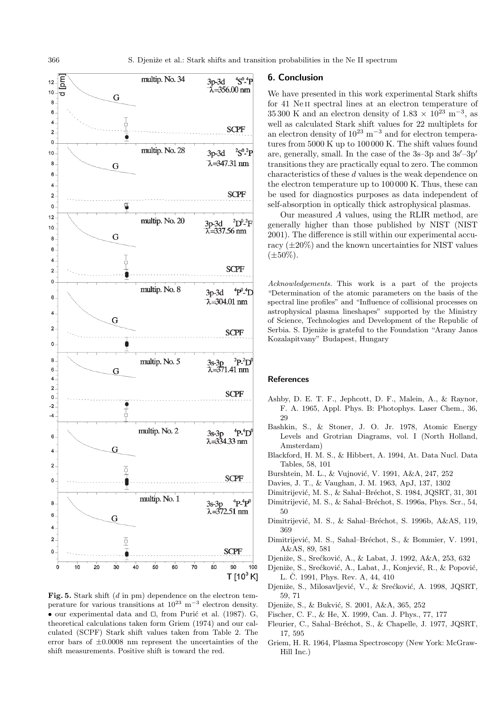

Fig. 5. Stark shift (d in pm) dependence on the electron temperature for various transitions at  $10^{23}$  m<sup>-3</sup> electron density. • our experimental data and  $\Box$ , from Puric et al. (1987). G, theoretical calculations taken form Griem (1974) and our calculated (SCPF) Stark shift values taken from Table 2. The error bars of  $\pm 0.0008$  nm represent the uncertainties of the shift measurements. Positive shift is toward the red.

#### **6. Conclusion**

We have presented in this work experimental Stark shifts for 41 Ne<sub>II</sub> spectral lines at an electron temperature of 35 300 K and an electron density of  $1.83 \times 10^{23}$  m<sup>-3</sup>, as well as calculated Stark shift values for 22 multiplets for an electron density of  $10^{23}$  m<sup>-3</sup> and for electron temperatures from 5000 K up to 100 000 K. The shift values found are, generally, small. In the case of the  $3s-3p$  and  $3s'-3p'$ transitions they are practically equal to zero. The common characteristics of these d values is the weak dependence on the electron temperature up to 100 000 K. Thus, these can be used for diagnostics purposes as data independent of self-absorption in optically thick astrophysical plasmas.

Our measured A values, using the RLIR method, are generally higher than those published by NIST (NIST 2001). The difference is still within our experimental accuracy  $(\pm 20\%)$  and the known uncertainties for NIST values  $(\pm 50\%).$ 

Acknowledgements. This work is a part of the projects "Determination of the atomic parameters on the basis of the spectral line profiles" and "Influence of collisional processes on astrophysical plasma lineshapes" supported by the Ministry of Science, Technologies and Development of the Republic of Serbia. S. Djeniže is grateful to the Foundation "Arany Janos" Kozalapitvany" Budapest, Hungary

#### **References**

- Ashby, D. E. T. F., Jephcott, D. F., Malein, A., & Raynor, F. A. 1965, Appl. Phys. B: Photophys. Laser Chem., 36, 29
- Bashkin, S., & Stoner, J. O. Jr. 1978, Atomic Energy Levels and Grotrian Diagrams, vol. I (North Holland, Amsterdam)
- Blackford, H. M. S., & Hibbert, A. 1994, At. Data Nucl. Data Tables, 58, 101
- Burshtein, M. L., & Vujnović, V. 1991, A&A, 247, 252
- Davies, J. T., & Vaughan, J. M. 1963, ApJ, 137, 1302
- Dimitrijević, M. S., & Sahal–Bréchot, S. 1984, JQSRT, 31, 301
- Dimitrijević, M. S., & Sahal–Bréchot, S. 1996a, Phys. Scr., 54, 50
- Dimitrijević, M. S., & Sahal–Bréchot, S. 1996b, A&AS, 119, 369
- Dimitrijević, M. S., Sahal–Bréchot, S., & Bommier, V. 1991, A&AS, 89, 581
- Djeniže, S., Srećković, A., & Labat, J. 1992, A&A, 253, 632
- Djeniže, S., Srećković, A., Labat, J., Konjević, R., & Popović, L. Č. 1991, Phys. Rev. A, 44, 410
- Djeniže, S., Milosavljević, V., & Srećković, A. 1998, JQSRT, 59, 71
- Djeniže, S., & Bukvić, S. 2001, A&A, 365, 252
- Fischer, C. F., & He, X. 1999, Can. J. Phys., 77, 177
- Fleurier, C., Sahal–Bréchot, S., & Chapelle, J. 1977, JQSRT, 17, 595
- Griem, H. R. 1964, Plasma Spectroscopy (New York: McGraw-Hill Inc.)